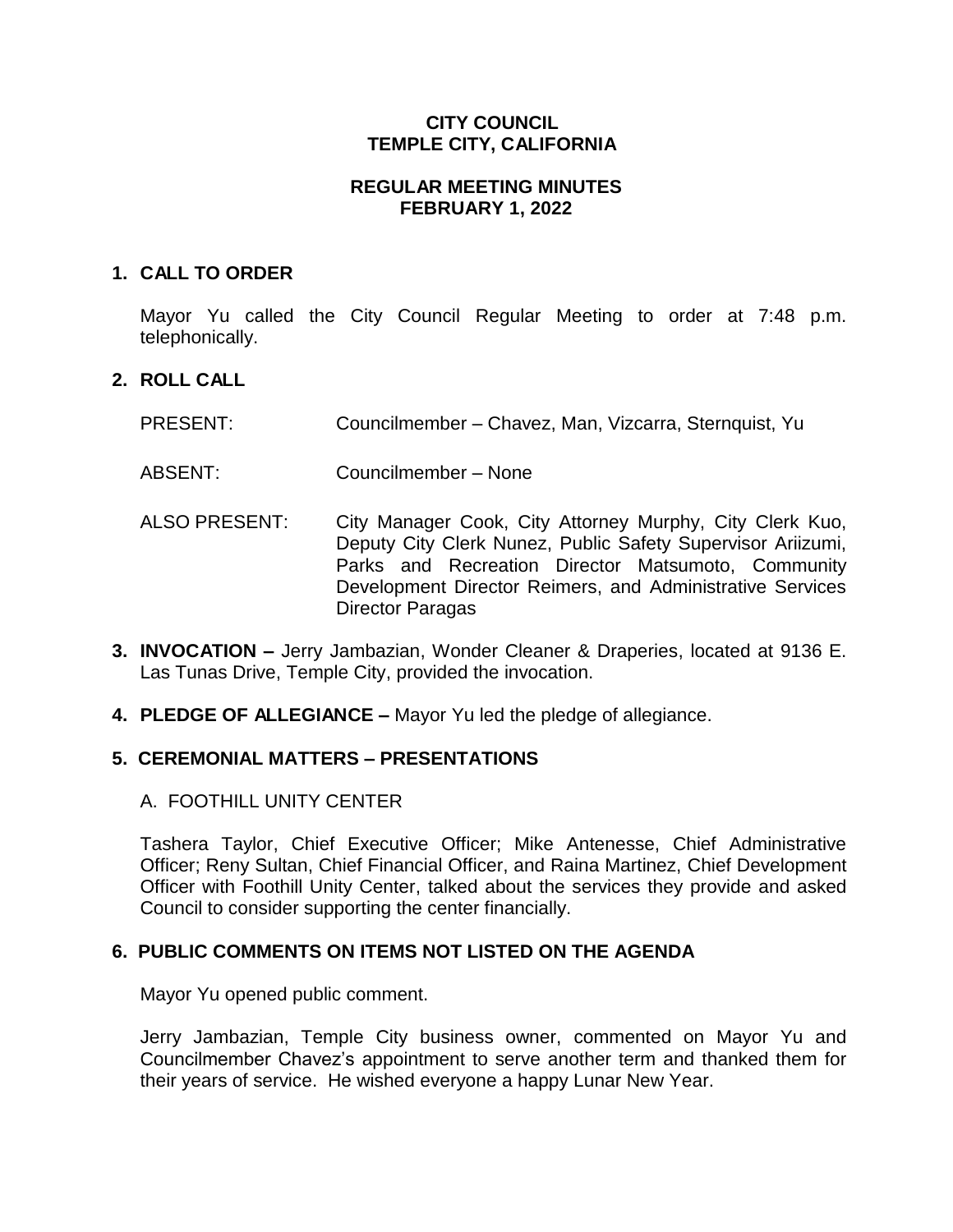## **CITY COUNCIL TEMPLE CITY, CALIFORNIA**

### **REGULAR MEETING MINUTES FEBRUARY 1, 2022**

## **1. CALL TO ORDER**

Mayor Yu called the City Council Regular Meeting to order at 7:48 p.m. telephonically.

## **2. ROLL CALL**

- PRESENT: Councilmember Chavez, Man, Vizcarra, Sternquist, Yu
- ABSENT: Councilmember None
- ALSO PRESENT: City Manager Cook, City Attorney Murphy, City Clerk Kuo, Deputy City Clerk Nunez, Public Safety Supervisor Ariizumi, Parks and Recreation Director Matsumoto, Community Development Director Reimers, and Administrative Services Director Paragas
- **3. INVOCATION –** Jerry Jambazian, Wonder Cleaner & Draperies, located at 9136 E. Las Tunas Drive, Temple City, provided the invocation.
- **4. PLEDGE OF ALLEGIANCE –** Mayor Yu led the pledge of allegiance.

# **5. CEREMONIAL MATTERS – PRESENTATIONS**

A. FOOTHILL UNITY CENTER

Tashera Taylor, Chief Executive Officer; Mike Antenesse, Chief Administrative Officer; Reny Sultan, Chief Financial Officer, and Raina Martinez, Chief Development Officer with Foothill Unity Center, talked about the services they provide and asked Council to consider supporting the center financially.

### **6. PUBLIC COMMENTS ON ITEMS NOT LISTED ON THE AGENDA**

Mayor Yu opened public comment.

Jerry Jambazian, Temple City business owner, commented on Mayor Yu and Councilmember Chavez's appointment to serve another term and thanked them for their years of service. He wished everyone a happy Lunar New Year.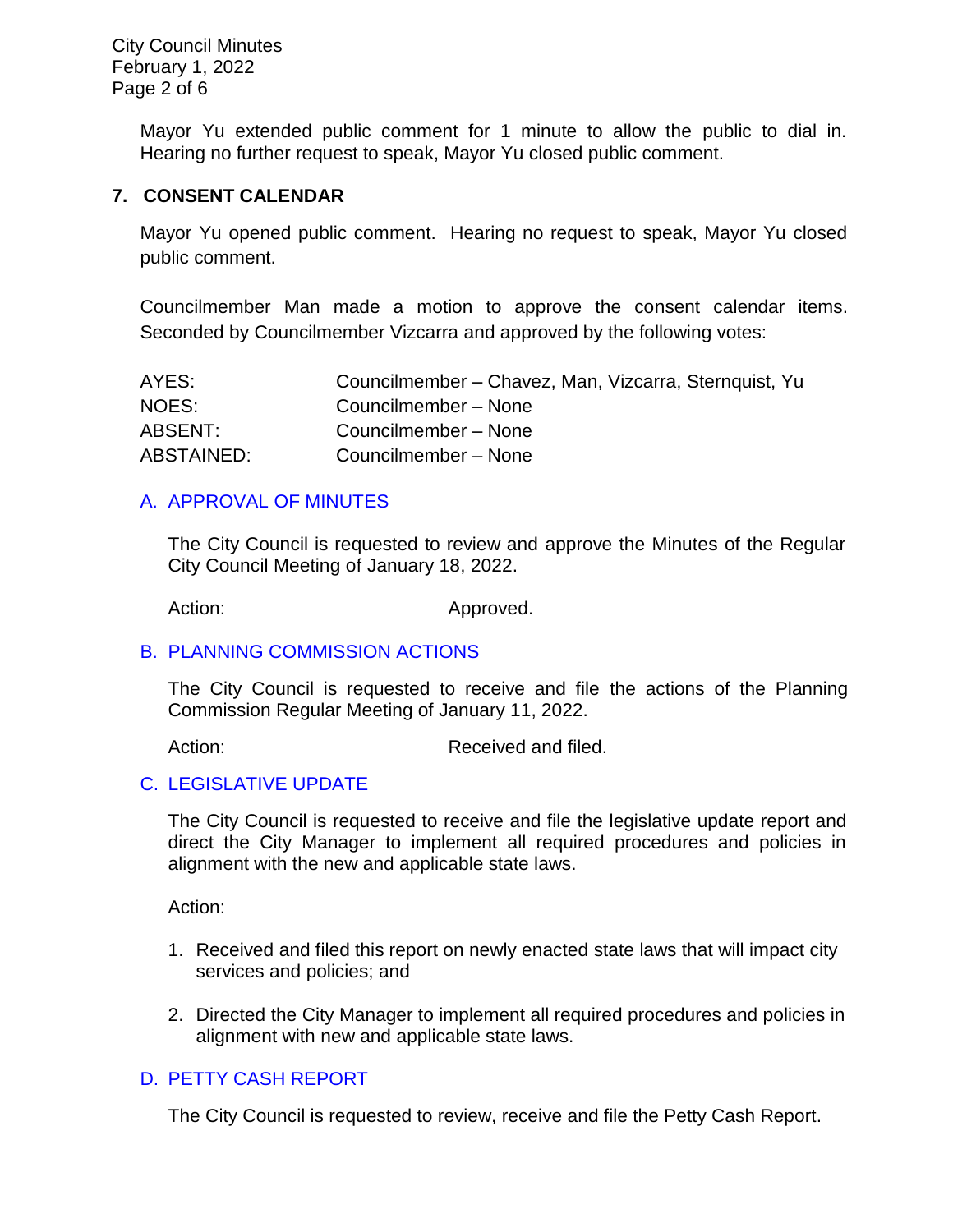City Council Minutes February 1, 2022 Page 2 of 6

> Mayor Yu extended public comment for 1 minute to allow the public to dial in. Hearing no further request to speak, Mayor Yu closed public comment.

#### **7. CONSENT CALENDAR**

Mayor Yu opened public comment. Hearing no request to speak, Mayor Yu closed public comment.

Councilmember Man made a motion to approve the consent calendar items. Seconded by Councilmember Vizcarra and approved by the following votes:

| AYES:      | Councilmember - Chavez, Man, Vizcarra, Sternquist, Yu |
|------------|-------------------------------------------------------|
| NOES:      | Councilmember - None                                  |
| ABSENT:    | Councilmember - None                                  |
| ABSTAINED: | Councilmember - None                                  |

### [A. APPROVAL OF MINUTES](https://www.ci.temple-city.ca.us/DocumentCenter/View/17379/03-7A_CCM---2022-01-18)

The City Council is requested to review and approve the Minutes of the Regular City Council Meeting of January 18, 2022.

Action: Approved.

### B. [PLANNING COMMISSION ACTIONS](https://www.ci.temple-city.ca.us/DocumentCenter/View/17380/04-7B_PC-Actions---from-2022-1-11)

The City Council is requested to receive and file the actions of the Planning Commission Regular Meeting of January 11, 2022.

Action: Received and filed.

### C. [LEGISLATIVE UPDATE](https://www.ci.temple-city.ca.us/DocumentCenter/View/17389/05-7C_Legislative-Update)

The City Council is requested to receive and file the legislative update report and direct the City Manager to implement all required procedures and policies in alignment with the new and applicable state laws.

Action:

- 1. Received and filed this report on newly enacted state laws that will impact city services and policies; and
- 2. Directed the City Manager to implement all required procedures and policies in alignment with new and applicable state laws.

## D. [PETTY CASH REPORT](https://www.ci.temple-city.ca.us/DocumentCenter/View/17374/05-7C_Petty-Cash-Report)

The City Council is requested to review, receive and file the Petty Cash Report.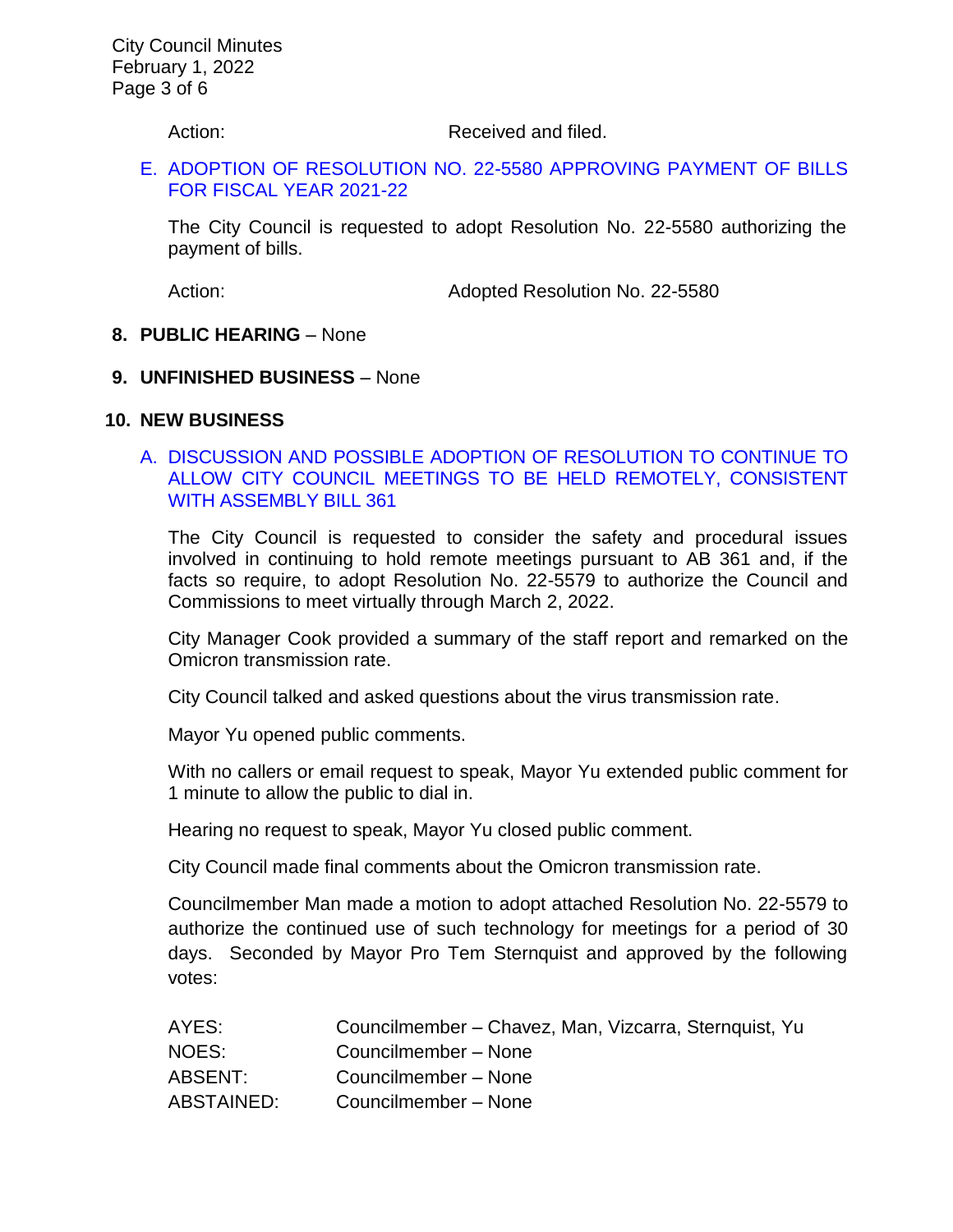Action: Received and filed.

### E. [ADOPTION OF RESOLUTION NO. 22-5580](https://www.ci.temple-city.ca.us/DocumentCenter/View/17375/06-7D_Reso-No-22-5580-20122---Warrants--Demands-FY-2021-2022) APPROVING PAYMENT OF BILLS [FOR FISCAL YEAR 2021-22](https://www.ci.temple-city.ca.us/DocumentCenter/View/17375/06-7D_Reso-No-22-5580-20122---Warrants--Demands-FY-2021-2022)

The City Council is requested to adopt Resolution No. 22-5580 authorizing the payment of bills.

Action: Adopted Resolution No. 22-5580

#### **8. PUBLIC HEARING** – None

#### **9. UNFINISHED BUSINESS** – None

#### **10. NEW BUSINESS**

### A. DISCUSSION AND POSSIBLE [ADOPTION OF RESOLUTION TO CONTINUE TO](https://www.ci.temple-city.ca.us/DocumentCenter/View/17376/07-10A_Remote-Meeting_Staff-Report_v2-w-attachments)  [ALLOW CITY COUNCIL MEETINGS TO BE HELD REMOTELY, CONSISTENT](https://www.ci.temple-city.ca.us/DocumentCenter/View/17376/07-10A_Remote-Meeting_Staff-Report_v2-w-attachments)  [WITH ASSEMBLY BILL 361](https://www.ci.temple-city.ca.us/DocumentCenter/View/17376/07-10A_Remote-Meeting_Staff-Report_v2-w-attachments)

The City Council is requested to consider the safety and procedural issues involved in continuing to hold remote meetings pursuant to AB 361 and, if the facts so require, to adopt Resolution No. 22-5579 to authorize the Council and Commissions to meet virtually through March 2, 2022.

City Manager Cook provided a summary of the staff report and remarked on the Omicron transmission rate.

City Council talked and asked questions about the virus transmission rate.

Mayor Yu opened public comments.

With no callers or email request to speak, Mayor Yu extended public comment for 1 minute to allow the public to dial in.

Hearing no request to speak, Mayor Yu closed public comment.

City Council made final comments about the Omicron transmission rate.

Councilmember Man made a motion to adopt attached Resolution No. 22-5579 to authorize the continued use of such technology for meetings for a period of 30 days. Seconded by Mayor Pro Tem Sternquist and approved by the following votes:

| AYES:      | Councilmember - Chavez, Man, Vizcarra, Sternquist, Yu |
|------------|-------------------------------------------------------|
| NOES:      | Councilmember - None                                  |
| ABSENT:    | Councilmember - None                                  |
| ABSTAINED: | Councilmember - None                                  |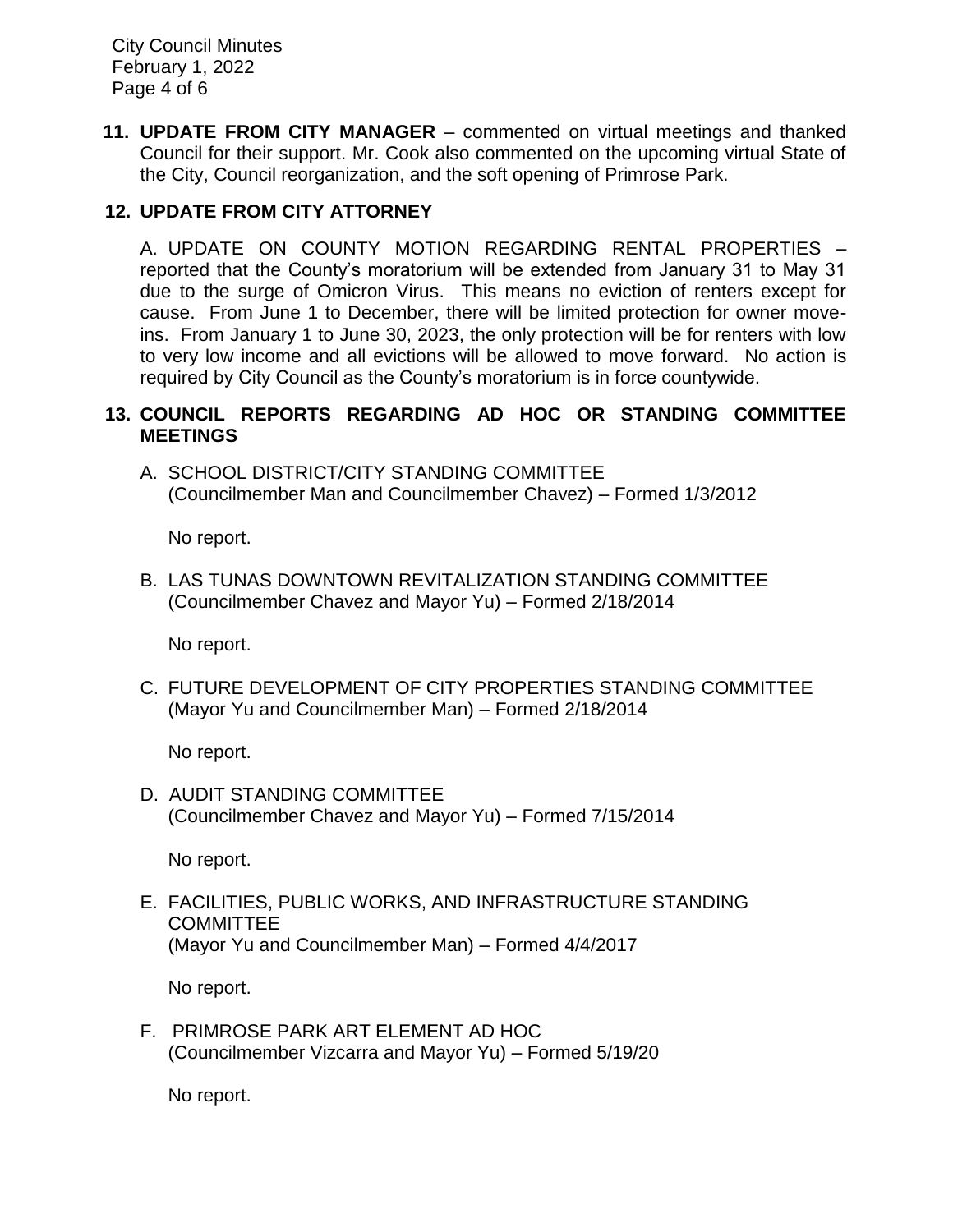City Council Minutes February 1, 2022 Page 4 of 6

**11. UPDATE FROM CITY MANAGER** – commented on virtual meetings and thanked Council for their support. Mr. Cook also commented on the upcoming virtual State of the City, Council reorganization, and the soft opening of Primrose Park.

# **12. UPDATE FROM CITY ATTORNEY**

A. UPDATE ON COUNTY MOTION REGARDING RENTAL PROPERTIES – reported that the County's moratorium will be extended from January 31 to May 31 due to the surge of Omicron Virus. This means no eviction of renters except for cause. From June 1 to December, there will be limited protection for owner moveins. From January 1 to June 30, 2023, the only protection will be for renters with low to very low income and all evictions will be allowed to move forward. No action is required by City Council as the County's moratorium is in force countywide.

### **13. COUNCIL REPORTS REGARDING AD HOC OR STANDING COMMITTEE MEETINGS**

A. SCHOOL DISTRICT/CITY STANDING COMMITTEE (Councilmember Man and Councilmember Chavez) – Formed 1/3/2012

No report.

B. LAS TUNAS DOWNTOWN REVITALIZATION STANDING COMMITTEE (Councilmember Chavez and Mayor Yu) – Formed 2/18/2014

No report.

C. FUTURE DEVELOPMENT OF CITY PROPERTIES STANDING COMMITTEE (Mayor Yu and Councilmember Man) – Formed 2/18/2014

No report.

D. AUDIT STANDING COMMITTEE (Councilmember Chavez and Mayor Yu) – Formed 7/15/2014

No report.

E. FACILITIES, PUBLIC WORKS, AND INFRASTRUCTURE STANDING **COMMITTEE** (Mayor Yu and Councilmember Man) – Formed 4/4/2017

No report.

F. PRIMROSE PARK ART ELEMENT AD HOC (Councilmember Vizcarra and Mayor Yu) – Formed 5/19/20

No report.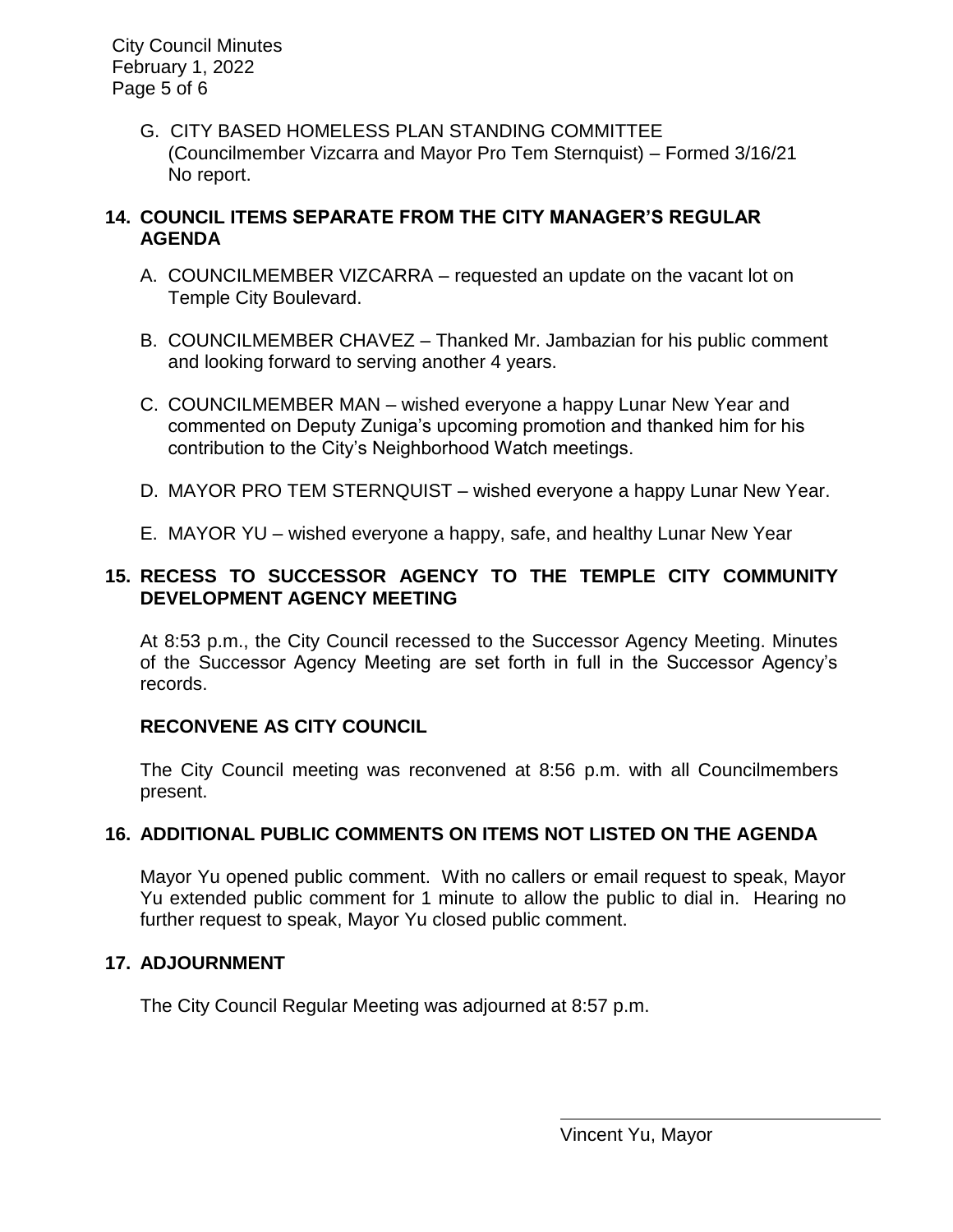City Council Minutes February 1, 2022 Page 5 of 6

> G. CITY BASED HOMELESS PLAN STANDING COMMITTEE (Councilmember Vizcarra and Mayor Pro Tem Sternquist) – Formed 3/16/21 No report.

# **14. COUNCIL ITEMS SEPARATE FROM THE CITY MANAGER'S REGULAR AGENDA**

- A. COUNCILMEMBER VIZCARRA requested an update on the vacant lot on Temple City Boulevard.
- B. COUNCILMEMBER CHAVEZ Thanked Mr. Jambazian for his public comment and looking forward to serving another 4 years.
- C. COUNCILMEMBER MAN wished everyone a happy Lunar New Year and commented on Deputy Zuniga's upcoming promotion and thanked him for his contribution to the City's Neighborhood Watch meetings.
- D. MAYOR PRO TEM STERNQUIST wished everyone a happy Lunar New Year.
- E. MAYOR YU wished everyone a happy, safe, and healthy Lunar New Year

# **15. RECESS TO SUCCESSOR AGENCY TO THE TEMPLE CITY COMMUNITY DEVELOPMENT AGENCY MEETING**

At 8:53 p.m., the City Council recessed to the Successor Agency Meeting. Minutes of the Successor Agency Meeting are set forth in full in the Successor Agency's records.

# **RECONVENE AS CITY COUNCIL**

The City Council meeting was reconvened at 8:56 p.m. with all Councilmembers present.

# **16. ADDITIONAL PUBLIC COMMENTS ON ITEMS NOT LISTED ON THE AGENDA**

Mayor Yu opened public comment. With no callers or email request to speak, Mayor Yu extended public comment for 1 minute to allow the public to dial in. Hearing no further request to speak, Mayor Yu closed public comment.

# **17. ADJOURNMENT**

The City Council Regular Meeting was adjourned at 8:57 p.m.